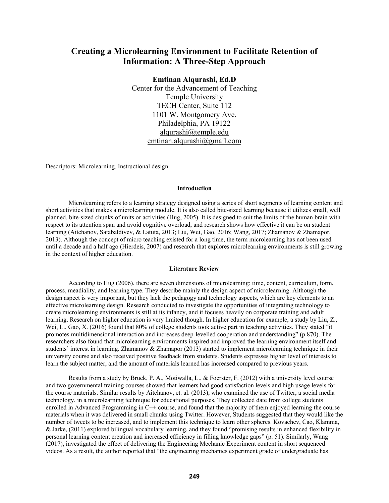# **Creating a Microlearning Environment to Facilitate Retention of Information: A Three-Step Approach**

## **Emtinan Alqurashi, Ed.D**

Center for the Advancement of Teaching Temple University TECH Center, Suite 112 1101 W. Montgomery Ave. Philadelphia, PA 19122 alqurashi@temple.edu emtinan.alqurashi@gmail.com

Descriptors: Microlearning, Instructional design

## **Introduction**

Microlearning refers to a learning strategy designed using a series of short segments of learning content and short activities that makes a microlearning module. It is also called bite-sized learning because it utilizes small, well planned, bite-sized chunks of units or activities (Hug, 2005). It is designed to suit the limits of the human brain with respect to its attention span and avoid cognitive overload, and research shows how effective it can be on student learning (Aitchanov, Satabaldiyev, & Latuta, 2013; Liu, Wei, Gao, 2016; Wang, 2017; Zhamanov & Zhamapor, 2013). Although the concept of micro teaching existed for a long time, the term microlearning has not been used until a decade and a half ago (Hierdeis, 2007) and research that explores microlearning environments is still growing in the context of higher education.

## **Literature Review**

According to Hug (2006), there are seven dimensions of microlearning: time, content, curriculum, form, process, meadiality, and learning type. They describe mainly the design aspect of microlearning. Although the design aspect is very important, but they lack the pedagogy and technology aspects, which are key elements to an effective microlearning design. Research conducted to investigate the opportunities of integrating technology to create microlearning environments is still at its infancy, and it focuses heavily on corporate training and adult learning. Research on higher education is very limited though. In higher education for example, a study by Liu, Z., Wei, L., Gao, X. (2016) found that 80% of college students took active part in teaching activities. They stated "it promotes multidimensional interaction and increases deep-levelled cooperation and understanding" (p.870). The researchers also found that microlearning environments inspired and improved the learning environment itself and students' interest in learning. Zhamanov & Zhamapor (2013) started to implement microlearning technique in their university course and also received positive feedback from students. Students expresses higher level of interests to learn the subject matter, and the amount of materials learned has increased compared to previous years.

Results from a study by Bruck, P. A., Motiwalla, L., & Foerster, F. (2012) with a university level course and two governmental training courses showed that learners had good satisfaction levels and high usage levels for the course materials. Similar results by Aitchanov, et. al. (2013), who examined the use of Twitter, a social media technology, in a microlearning technique for educational purposes. They collected date from college students enrolled in Advanced Programming in C++ course, and found that the majority of them enjoyed learning the course materials when it was delivered in small chunks using Twitter. However, Students suggested that they would like the number of tweets to be increased, and to implement this technique to learn other spheres. Kovachev, Cao, Klamma, & Jarke, (2011) explored bilingual vocabulary learning, and they found "promising results in enhanced flexibility in personal learning content creation and increased efficiency in filling knowledge gaps" (p. 51). Similarly, Wang (2017), investigated the effect of delivering the Engineering Mechanic Experiment content in short sequenced videos. As a result, the author reported that "the engineering mechanics experiment grade of undergraduate has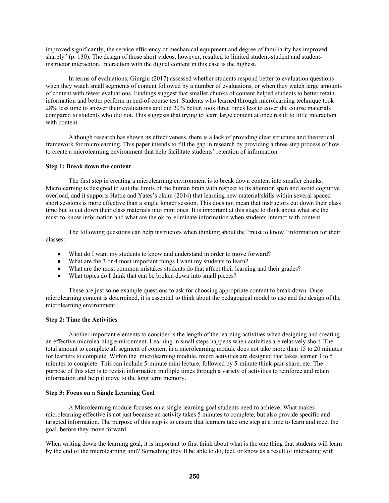improved significantly, the service efficiency of mechanical equipment and degree of familiarity has improved sharply" (p. 130). The design of those short videos, however, resulted to limited student-student and studentinstructor interaction. Interaction with the digital content in this case is the highest.

In terms of evaluations, Giurgiu (2017) assessed whether students respond better to evaluation questions when they watch small segments of content followed by a number of evaluations, or when they watch large amounts of content with fewer evaluations. Findings suggest that smaller chunks of content helped students to better retain information and better perform in end-of-course test. Students who learned through microlearning technique took 28% less time to answer their evaluations and did 20% better, took three times less to cover the course materials compared to students who did not. This suggests that trying to learn large content at once result to little interaction with content.

Although research has shown its effectiveness, there is a lack of providing clear structure and theoretical framework for microlearning. This paper intends to fill the gap in research by providing a three step process of how to create a microlearning environment that help facilitate students' retention of information.

## **Step 1: Break down the content**

The first step in creating a microlearning environment is to break down content into smaller chunks. Microlearning is designed to suit the limits of the human brain with respect to its attention span and avoid cognitive overload, and it supports Hattie and Yates's claim (2014) that learning new material/skills within several spaced short sessions is more effective than a single longer session. This does not mean that instructors cut down their class time but to cut down their class materials into mini ones. It is important at this stage to think about what are the must-to-know information and what are the ok-to-eliminate information when students interact with content.

The following questions can help instructors when thinking about the "must to know" information for their classes:

- What do I want my students to know and understand in order to move forward?
- What are the 3 or 4 most important things I want my students to learn?
- What are the most common mistakes students do that affect their learning and their grades?
- What topics do I think that can be broken down into small pieces?

These are just some example questions to ask for choosing appropriate content to break down. Once microlearning content is determined, it is essential to think about the pedagogical model to use and the design of the microlearning environment.

#### **Step 2: Time the Activities**

Another important elements to consider is the length of the learning activities when designing and creating an effective microlearning environment. Learning in small steps happens when activities are relatively short. The total amount to complete all segment of content in a microlearning module does not take more than 15 to 20 minutes for learners to complete. Within the microlearning module, micro activities are designed that takes learner 3 to 5 minutes to complete. This can include 5-minute mini lecture, followed by 5-minute think-pair-share, etc. The purpose of this step is to revisit information multiple times through a variety of activities to reinforce and retain information and help it move to the long term memory.

#### **Step 3: Focus on a Single Learning Goal**

A Microlearning module focuses on a single learning goal students need to achieve. What makes microlearning effective is not just because an activity takes 5 minutes to complete, but also provide specific and targeted information. The purpose of this step is to ensure that learners take one step at a time to learn and meet the goal, before they move forward.

When writing down the learning goal, it is important to first think about what is the one thing that students will learn by the end of the microlearning unit? Something they'll be able to do, feel, or know as a result of interacting with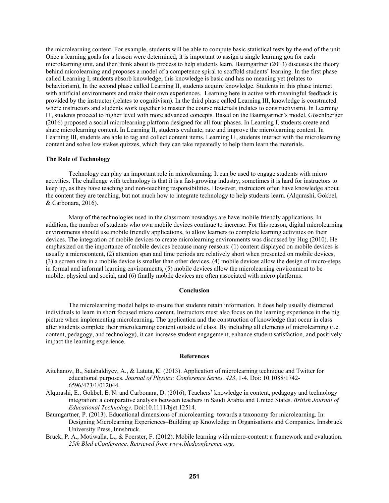the microlearning content. For example, students will be able to compute basic statistical tests by the end of the unit. Once a learning goals for a lesson were determined, it is important to assign a single learning goa for each microlearning unit, and then think about its process to help students learn. Baumgartner (2013) discusses the theory behind microlearning and proposes a model of a competence spiral to scaffold students' learning. In the first phase called Learning I, students absorb knowledge; this knowledge is basic and has no meaning yet (relates to behaviorism), In the second phase called Learning II, students acquire knowledge. Students in this phase interact with artificial environments and make their own experiences. Learning here in active with meaningful feedback is provided by the instructor (relates to cognitivism). In the third phase called Learning III, knowledge is constructed where instructors and students work together to master the course materials (relates to constructivism). In Learning I+, students proceed to higher level with more advanced concepts. Based on the Baumgartner's model, Göschlberger (2016) proposed a social microlearning platform designed for all four phases. In Learning I, students create and share microlearning content. In Learning II, students evaluate, rate and improve the microlearning content. In Learning III, students are able to tag and collect content items. Learning I+, students interact with the microlearning content and solve low stakes quizzes, which they can take repeatedly to help them learn the materials.

#### **The Role of Technology**

Technology can play an important role in microlearning. It can be used to engage students with micro activities. The challenge with technology is that it is a fast-growing industry, sometimes it is hard for instructors to keep up, as they have teaching and non-teaching responsibilities. However, instructors often have knowledge about the content they are teaching, but not much how to integrate technology to help students learn. (Alqurashi, Gokbel, & Carbonara, 2016).

Many of the technologies used in the classroom nowadays are have mobile friendly applications. In addition, the number of students who own mobile devices continue to increase. For this reason, digital microlearning environments should use mobile friendly applications, to allow learners to complete learning activities on their devices. The integration of mobile devices to create microlearning environments was discussed by Hug (2010). He emphasized on the importance of mobile devices because many reasons: (1) content displayed on mobile devices is usually a microcontent, (2) attention span and time periods are relatively short when presented on mobile devices, (3) a screen size in a mobile device is smaller than other devices, (4) mobile devices allow the design of micro-steps in formal and informal learning environments, (5) mobile devices allow the microlearning environment to be mobile, physical and social, and (6) finally mobile devices are often associated with micro platforms.

## **Conclusion**

The microlearning model helps to ensure that students retain information. It does help usually distracted individuals to learn in short focused micro content. Instructors must also focus on the learning experience in the big picture when implementing microlearning. The application and the construction of knowledge that occur in class after students complete their microlearning content outside of class. By including all elements of microlearning (i.e. content, pedagogy, and technology), it can increase student engagement, enhance student satisfaction, and positively impact the learning experience.

#### **References**

- Aitchanov, B., Satabaldiyev, A., & Latuta, K. (2013). Application of microlearning technique and Twitter for educational purposes. *Journal of Physics: Conference Series, 423*, 1-4. Doi: 10.1088/1742- 6596/423/1/012044.
- Alqurashi, E., Gokbel, E. N. and Carbonara, D. (2016), Teachers' knowledge in content, pedagogy and technology integration: a comparative analysis between teachers in Saudi Arabia and United States. *British Journal of Educational Technology*. Doi:10.1111/bjet.12514.
- Baumgartner, P. (2013). Educational dimensions of microlearning–towards a taxonomy for microlearning. In: Designing Microlearning Experiences–Building up Knowledge in Organisations and Companies. Innsbruck University Press, Innsbruck.
- Bruck, P. A., Motiwalla, L., & Foerster, F. (2012). Mobile learning with micro-content: a framework and evaluation. *25th Bled eConference. Retrieved from www.bledconference.org*.